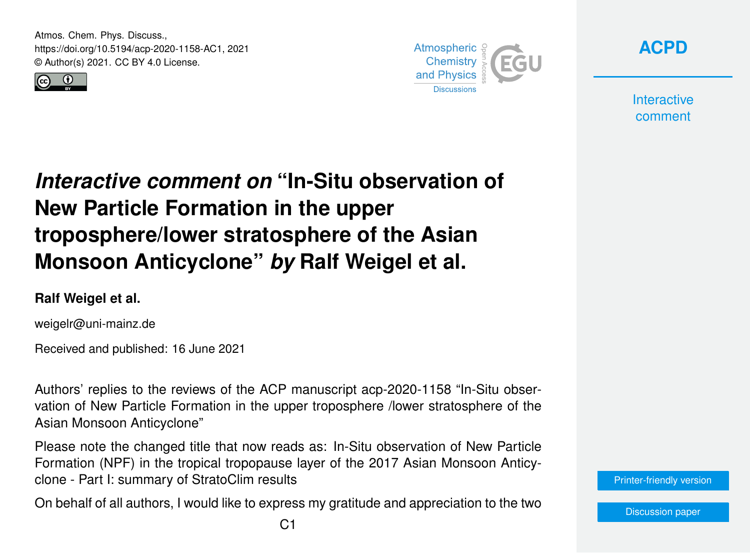Atmos. Chem. Phys. Discuss., https://doi.org/10.5194/acp-2020-1158-AC1, 2021 © Author(s) 2021. CC BY 4.0 License.





**[ACPD](https://acp.copernicus.org/preprints/)**

**Interactive** comment

## *Interactive comment on* **"In-Situ observation of New Particle Formation in the upper troposphere/lower stratosphere of the Asian Monsoon Anticyclone"** *by* **Ralf Weigel et al.**

## **Ralf Weigel et al.**

weigelr@uni-mainz.de

Received and published: 16 June 2021

Authors' replies to the reviews of the ACP manuscript acp-2020-1158 "In-Situ observation of New Particle Formation in the upper troposphere /lower stratosphere of the Asian Monsoon Anticyclone"

Please note the changed title that now reads as: In-Situ observation of New Particle Formation (NPF) in the tropical tropopause layer of the 2017 Asian Monsoon Anticyclone - Part I: summary of StratoClim results

On behalf of all authors, I would like to express my gratitude and appreciation to the two



[Discussion paper](https://acp.copernicus.org/preprints/acp-2020-1158)